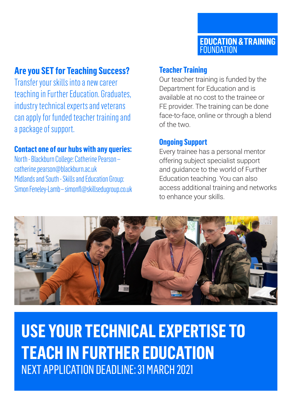# **Are you SET for Teaching Success?**

Transfer your skills into a new career teaching in Further Education. Graduates, industry technical experts and veterans can apply for funded teacher training and a package of support.

### **Contact one of our hubs with any queries:**

North - Blackburn College: Catherine Pearson – [catherine.pearson@blackburn.ac.uk](mailto:catherine.pearson@blackburn.ac.uk) Midlands and South - Skills and Education Group: Simon Feneley-Lamb – [simonfl@skillsedugroup.co.uk](mailto:simonfl@skillsedugroup.co.uk)

### **Teacher Training**

Our teacher training is funded by the Department for Education and is available at no cost to the trainee or FE provider. The training can be done face-to-face, online or through a blend of the two.

### **Ongoing Support**

Every trainee has a personal mentor offering subject specialist support and guidance to the world of Further Education teaching. You can also access additional training and networks to enhance your skills.



**USE YOUR TECHNICAL EXPERTISE TO TEACH IN FURTHER EDUCATION** NEXT APPLICATION DEADLINE: 31 MARCH 2021